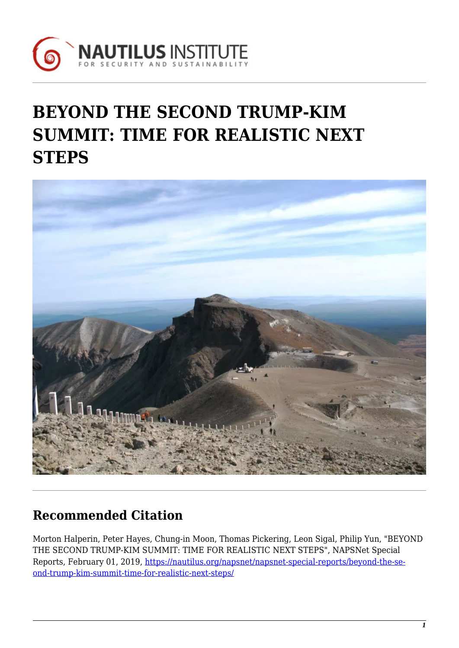

# **BEYOND THE SECOND TRUMP-KIM SUMMIT: TIME FOR REALISTIC NEXT STEPS**



# **Recommended Citation**

Morton Halperin, Peter Hayes, Chung-in Moon, Thomas Pickering, Leon Sigal, Philip Yun, "BEYOND THE SECOND TRUMP-KIM SUMMIT: TIME FOR REALISTIC NEXT STEPS", NAPSNet Special Reports, February 01, 2019, [https://nautilus.org/napsnet/napsnet-special-reports/beyond-the-se](https://nautilus.org/napsnet/napsnet-special-reports/beyond-the-second-trump-kim-summit-time-for-realistic-next-steps/)[ond-trump-kim-summit-time-for-realistic-next-steps/](https://nautilus.org/napsnet/napsnet-special-reports/beyond-the-second-trump-kim-summit-time-for-realistic-next-steps/)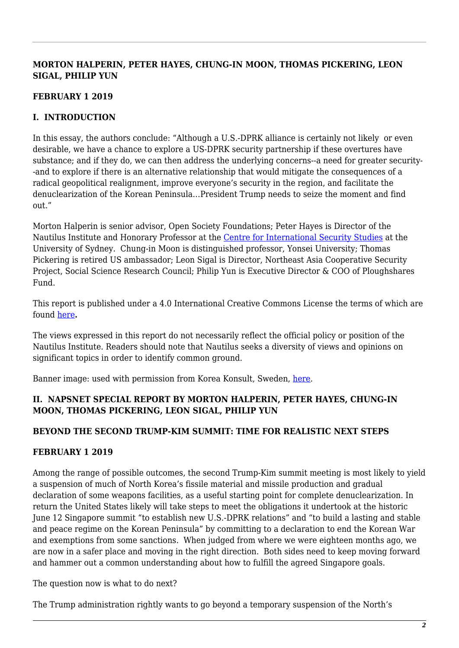# **MORTON HALPERIN, PETER HAYES, CHUNG-IN MOON, THOMAS PICKERING, LEON SIGAL, PHILIP YUN**

# **FEBRUARY 1 2019**

# **I. INTRODUCTION**

In this essay, the authors conclude: "Although a U.S.-DPRK alliance is certainly not likely or even desirable, we have a chance to explore a US-DPRK security partnership if these overtures have substance; and if they do, we can then address the underlying concerns--a need for greater security- -and to explore if there is an alternative relationship that would mitigate the consequences of a radical geopolitical realignment, improve everyone's security in the region, and facilitate the denuclearization of the Korean Peninsula…President Trump needs to seize the moment and find out."

Morton Halperin is senior advisor, Open Society Foundations; Peter Hayes is Director of the Nautilus Institute and Honorary Professor at the [Centre for International Security Studies](http://sydney.edu.au/arts/ciss/) at the University of Sydney. Chung-in Moon is distinguished professor, Yonsei University; Thomas Pickering is retired US ambassador; Leon Sigal is Director, Northeast Asia Cooperative Security Project, Social Science Research Council; Philip Yun is Executive Director & COO of Ploughshares Fund.

This report is published under a 4.0 International Creative Commons License the terms of which are found [here](https://creativecommons.org/licenses/by-nc-sa/4.0/)**.**

The views expressed in this report do not necessarily reflect the official policy or position of the Nautilus Institute. Readers should note that Nautilus seeks a diversity of views and opinions on significant topics in order to identify common ground.

Banner image: used with permission from Korea Konsult, Sweden, [here.](http://www.koreakonsult.com/Attraction_Paektu_eng.html)

# **II. NAPSNET SPECIAL REPORT BY MORTON HALPERIN, PETER HAYES, CHUNG-IN MOON, THOMAS PICKERING, LEON SIGAL, PHILIP YUN**

# **BEYOND THE SECOND TRUMP-KIM SUMMIT: TIME FOR REALISTIC NEXT STEPS**

# **FEBRUARY 1 2019**

Among the range of possible outcomes, the second Trump-Kim summit meeting is most likely to yield a suspension of much of North Korea's fissile material and missile production and gradual declaration of some weapons facilities, as a useful starting point for complete denuclearization. In return the United States likely will take steps to meet the obligations it undertook at the historic June 12 Singapore summit "to establish new U.S.-DPRK relations" and "to build a lasting and stable and peace regime on the Korean Peninsula" by committing to a declaration to end the Korean War and exemptions from some sanctions. When judged from where we were eighteen months ago, we are now in a safer place and moving in the right direction. Both sides need to keep moving forward and hammer out a common understanding about how to fulfill the agreed Singapore goals.

The question now is what to do next?

The Trump administration rightly wants to go beyond a temporary suspension of the North's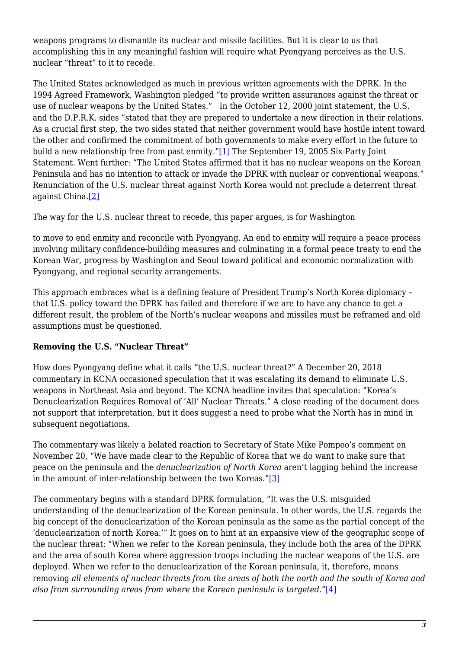weapons programs to dismantle its nuclear and missile facilities. But it is clear to us that accomplishing this in any meaningful fashion will require what Pyongyang perceives as the U.S. nuclear "threat" to it to recede.

The United States acknowledged as much in previous written agreements with the DPRK. In the 1994 Agreed Framework, Washington pledged "to provide written assurances against the threat or use of nuclear weapons by the United States." In the October 12, 2000 joint statement, the U.S. and the D.P.R.K. sides "stated that they are prepared to undertake a new direction in their relations. As a crucial first step, the two sides stated that neither government would have hostile intent toward the other and confirmed the commitment of both governments to make every effort in the future to build a new relationship free from past enmity.["\[1\]](#page-6-0) The September 19, 2005 Six-Party Joint Statement. Went further: "The United States affirmed that it has no nuclear weapons on the Korean Peninsula and has no intention to attack or invade the DPRK with nuclear or conventional weapons." Renunciation of the U.S. nuclear threat against North Korea would not preclude a deterrent threat against China.[\[2\]](#page-6-1)

<span id="page-2-1"></span><span id="page-2-0"></span>The way for the U.S. nuclear threat to recede, this paper argues, is for Washington

to move to end enmity and reconcile with Pyongyang. An end to enmity will require a peace process involving military confidence-building measures and culminating in a formal peace treaty to end the Korean War, progress by Washington and Seoul toward political and economic normalization with Pyongyang, and regional security arrangements.

This approach embraces what is a defining feature of President Trump's North Korea diplomacy – that U.S. policy toward the DPRK has failed and therefore if we are to have any chance to get a different result, the problem of the North's nuclear weapons and missiles must be reframed and old assumptions must be questioned.

# **Removing the U.S. "Nuclear Threat"**

How does Pyongyang define what it calls "the U.S. nuclear threat?" A December 20, 2018 commentary in KCNA occasioned speculation that it was escalating its demand to eliminate U.S. weapons in Northeast Asia and beyond. The KCNA headline invites that speculation: "Korea's Denuclearization Requires Removal of 'All' Nuclear Threats." A close reading of the document does not support that interpretation, but it does suggest a need to probe what the North has in mind in subsequent negotiations.

The commentary was likely a belated reaction to Secretary of State Mike Pompeo's comment on November 20, "We have made clear to the Republic of Korea that we do want to make sure that peace on the peninsula and the *denuclearization of North Korea* aren't lagging behind the increase in the amount of inter-relationship between the two Koreas."[\[3\]](#page-6-2)

<span id="page-2-3"></span><span id="page-2-2"></span>The commentary begins with a standard DPRK formulation, "It was the U.S. misguided understanding of the denuclearization of the Korean peninsula. In other words, the U.S. regards the big concept of the denuclearization of the Korean peninsula as the same as the partial concept of the 'denuclearization of north Korea.'" It goes on to hint at an expansive view of the geographic scope of the nuclear threat: "When we refer to the Korean peninsula, they include both the area of the DPRK and the area of south Korea where aggression troops including the nuclear weapons of the U.S. are deployed. When we refer to the denuclearization of the Korean peninsula, it, therefore, means removing *all elements of nuclear threats from the areas of both the north and the south of Korea and also from surrounding areas from where the Korean peninsula is targeted*."[\[4\]](#page-6-3)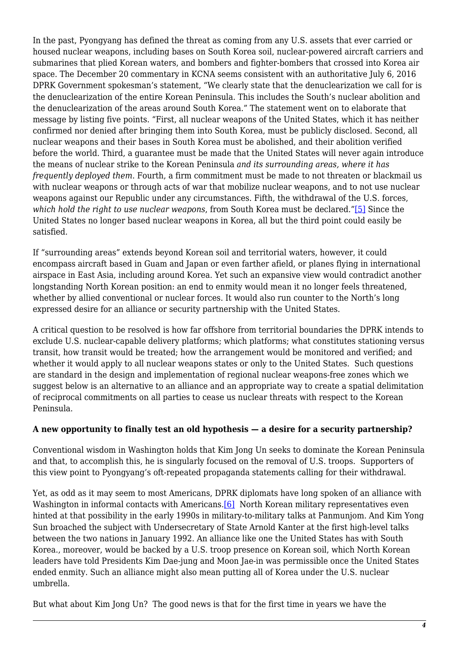In the past, Pyongyang has defined the threat as coming from any U.S. assets that ever carried or housed nuclear weapons, including bases on South Korea soil, nuclear-powered aircraft carriers and submarines that plied Korean waters, and bombers and fighter-bombers that crossed into Korea air space. The December 20 commentary in KCNA seems consistent with an authoritative July 6, 2016 DPRK Government spokesman's statement, "We clearly state that the denuclearization we call for is the denuclearization of the entire Korean Peninsula. This includes the South's nuclear abolition and the denuclearization of the areas around South Korea." The statement went on to elaborate that message by listing five points. "First, all nuclear weapons of the United States, which it has neither confirmed nor denied after bringing them into South Korea, must be publicly disclosed. Second, all nuclear weapons and their bases in South Korea must be abolished, and their abolition verified before the world. Third, a guarantee must be made that the United States will never again introduce the means of nuclear strike to the Korean Peninsula *and its surrounding areas, where it has frequently deployed them*. Fourth, a firm commitment must be made to not threaten or blackmail us with nuclear weapons or through acts of war that mobilize nuclear weapons, and to not use nuclear weapons against our Republic under any circumstances. Fifth, the withdrawal of the U.S. forces, *which hold the right to use nuclear weapons*, from South Korea must be declared.["\[5\]](#page-7-0) Since the United States no longer based nuclear weapons in Korea, all but the third point could easily be satisfied.

<span id="page-3-0"></span>If "surrounding areas" extends beyond Korean soil and territorial waters, however, it could encompass aircraft based in Guam and Japan or even farther afield, or planes flying in international airspace in East Asia, including around Korea. Yet such an expansive view would contradict another longstanding North Korean position: an end to enmity would mean it no longer feels threatened, whether by allied conventional or nuclear forces. It would also run counter to the North's long expressed desire for an alliance or security partnership with the United States.

A critical question to be resolved is how far offshore from territorial boundaries the DPRK intends to exclude U.S. nuclear-capable delivery platforms; which platforms; what constitutes stationing versus transit, how transit would be treated; how the arrangement would be monitored and verified; and whether it would apply to all nuclear weapons states or only to the United States. Such questions are standard in the design and implementation of regional nuclear weapons-free zones which we suggest below is an alternative to an alliance and an appropriate way to create a spatial delimitation of reciprocal commitments on all parties to cease us nuclear threats with respect to the Korean Peninsula.

# **A new opportunity to finally test an old hypothesis — a desire for a security partnership?**

Conventional wisdom in Washington holds that Kim Jong Un seeks to dominate the Korean Peninsula and that, to accomplish this, he is singularly focused on the removal of U.S. troops. Supporters of this view point to Pyongyang's oft-repeated propaganda statements calling for their withdrawal.

<span id="page-3-1"></span>Yet, as odd as it may seem to most Americans, DPRK diplomats have long spoken of an alliance with Washington in informal contacts with Americans.<sup>[6]</sup> North Korean military representatives even hinted at that possibility in the early 1990s in military-to-military talks at Panmunjom. And Kim Yong Sun broached the subject with Undersecretary of State Arnold Kanter at the first high-level talks between the two nations in January 1992. An alliance like one the United States has with South Korea., moreover, would be backed by a U.S. troop presence on Korean soil, which North Korean leaders have told Presidents Kim Dae-jung and Moon Jae-in was permissible once the United States ended enmity. Such an alliance might also mean putting all of Korea under the U.S. nuclear umbrella.

But what about Kim Jong Un? The good news is that for the first time in years we have the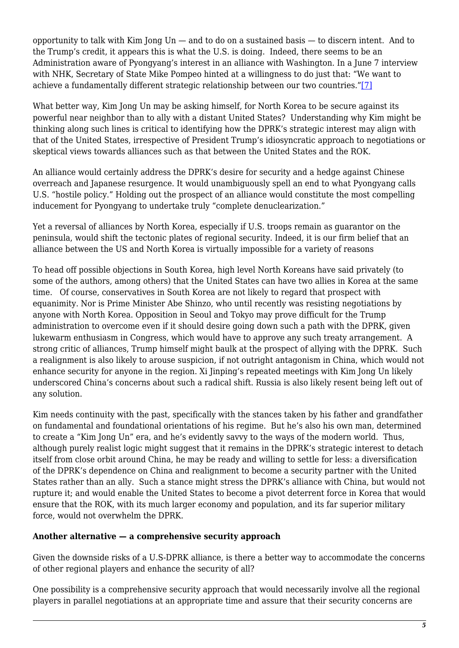opportunity to talk with Kim Jong Un — and to do on a sustained basis — to discern intent. And to the Trump's credit, it appears this is what the U.S. is doing. Indeed, there seems to be an Administration aware of Pyongyang's interest in an alliance with Washington. In a June 7 interview with NHK, Secretary of State Mike Pompeo hinted at a willingness to do just that: "We want to achieve a fundamentally different strategic relationship between our two countries."[\[7\]](#page-7-2)

<span id="page-4-0"></span>What better way, Kim Jong Un may be asking himself, for North Korea to be secure against its powerful near neighbor than to ally with a distant United States? Understanding why Kim might be thinking along such lines is critical to identifying how the DPRK's strategic interest may align with that of the United States, irrespective of President Trump's idiosyncratic approach to negotiations or skeptical views towards alliances such as that between the United States and the ROK.

An alliance would certainly address the DPRK's desire for security and a hedge against Chinese overreach and Japanese resurgence. It would unambiguously spell an end to what Pyongyang calls U.S. "hostile policy." Holding out the prospect of an alliance would constitute the most compelling inducement for Pyongyang to undertake truly "complete denuclearization."

Yet a reversal of alliances by North Korea, especially if U.S. troops remain as guarantor on the peninsula, would shift the tectonic plates of regional security. Indeed, it is our firm belief that an alliance between the US and North Korea is virtually impossible for a variety of reasons

To head off possible objections in South Korea, high level North Koreans have said privately (to some of the authors, among others) that the United States can have two allies in Korea at the same time. Of course, conservatives in South Korea are not likely to regard that prospect with equanimity. Nor is Prime Minister Abe Shinzo, who until recently was resisting negotiations by anyone with North Korea. Opposition in Seoul and Tokyo may prove difficult for the Trump administration to overcome even if it should desire going down such a path with the DPRK, given lukewarm enthusiasm in Congress, which would have to approve any such treaty arrangement. A strong critic of alliances, Trump himself might baulk at the prospect of allying with the DPRK. Such a realignment is also likely to arouse suspicion, if not outright antagonism in China, which would not enhance security for anyone in the region. Xi Jinping's repeated meetings with Kim Jong Un likely underscored China's concerns about such a radical shift. Russia is also likely resent being left out of any solution.

Kim needs continuity with the past, specifically with the stances taken by his father and grandfather on fundamental and foundational orientations of his regime. But he's also his own man, determined to create a "Kim Jong Un" era, and he's evidently savvy to the ways of the modern world. Thus, although purely realist logic might suggest that it remains in the DPRK's strategic interest to detach itself from close orbit around China, he may be ready and willing to settle for less: a diversification of the DPRK's dependence on China and realignment to become a security partner with the United States rather than an ally. Such a stance might stress the DPRK's alliance with China, but would not rupture it; and would enable the United States to become a pivot deterrent force in Korea that would ensure that the ROK, with its much larger economy and population, and its far superior military force, would not overwhelm the DPRK.

# **Another alternative — a comprehensive security approach**

Given the downside risks of a U.S-DPRK alliance, is there a better way to accommodate the concerns of other regional players and enhance the security of all?

One possibility is a comprehensive security approach that would necessarily involve all the regional players in parallel negotiations at an appropriate time and assure that their security concerns are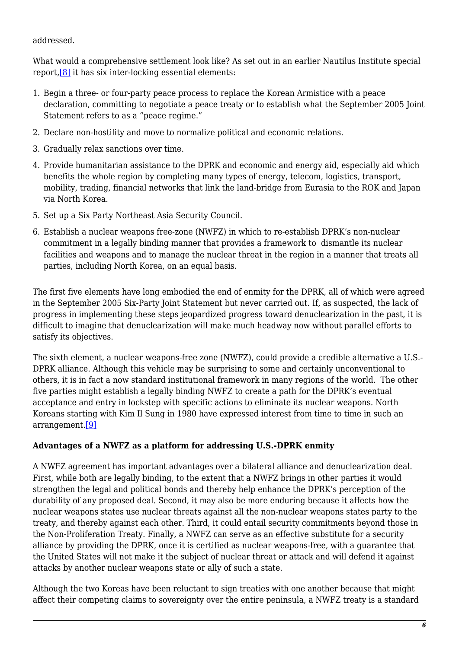#### addressed.

<span id="page-5-0"></span>What would a comprehensive settlement look like? As set out in an earlier Nautilus Institute special report[,\[8\]](#page-7-3) it has six inter-locking essential elements:

- 1. Begin a three- or four-party peace process to replace the Korean Armistice with a peace declaration, committing to negotiate a peace treaty or to establish what the September 2005 Joint Statement refers to as a "peace regime."
- 2. Declare non-hostility and move to normalize political and economic relations.
- 3. Gradually relax sanctions over time.
- 4. Provide humanitarian assistance to the DPRK and economic and energy aid, especially aid which benefits the whole region by completing many types of energy, telecom, logistics, transport, mobility, trading, financial networks that link the land-bridge from Eurasia to the ROK and Japan via North Korea.
- 5. Set up a Six Party Northeast Asia Security Council.
- 6. Establish a nuclear weapons free-zone (NWFZ) in which to re-establish DPRK's non-nuclear commitment in a legally binding manner that provides a framework to dismantle its nuclear facilities and weapons and to manage the nuclear threat in the region in a manner that treats all parties, including North Korea, on an equal basis.

The first five elements have long embodied the end of enmity for the DPRK, all of which were agreed in the September 2005 Six-Party Joint Statement but never carried out. If, as suspected, the lack of progress in implementing these steps jeopardized progress toward denuclearization in the past, it is difficult to imagine that denuclearization will make much headway now without parallel efforts to satisfy its objectives.

The sixth element, a nuclear weapons-free zone (NWFZ), could provide a credible alternative a U.S.- DPRK alliance. Although this vehicle may be surprising to some and certainly unconventional to others, it is in fact a now standard institutional framework in many regions of the world. The other five parties might establish a legally binding NWFZ to create a path for the DPRK's eventual acceptance and entry in lockstep with specific actions to eliminate its nuclear weapons. North Koreans starting with Kim Il Sung in 1980 have expressed interest from time to time in such an arrangement[.\[9\]](#page-7-4)

# <span id="page-5-1"></span>**Advantages of a NWFZ as a platform for addressing U.S.-DPRK enmity**

A NWFZ agreement has important advantages over a bilateral alliance and denuclearization deal. First, while both are legally binding, to the extent that a NWFZ brings in other parties it would strengthen the legal and political bonds and thereby help enhance the DPRK's perception of the durability of any proposed deal. Second, it may also be more enduring because it affects how the nuclear weapons states use nuclear threats against all the non-nuclear weapons states party to the treaty, and thereby against each other. Third, it could entail security commitments beyond those in the Non-Proliferation Treaty. Finally, a NWFZ can serve as an effective substitute for a security alliance by providing the DPRK, once it is certified as nuclear weapons-free, with a guarantee that the United States will not make it the subject of nuclear threat or attack and will defend it against attacks by another nuclear weapons state or ally of such a state.

Although the two Koreas have been reluctant to sign treaties with one another because that might affect their competing claims to sovereignty over the entire peninsula, a NWFZ treaty is a standard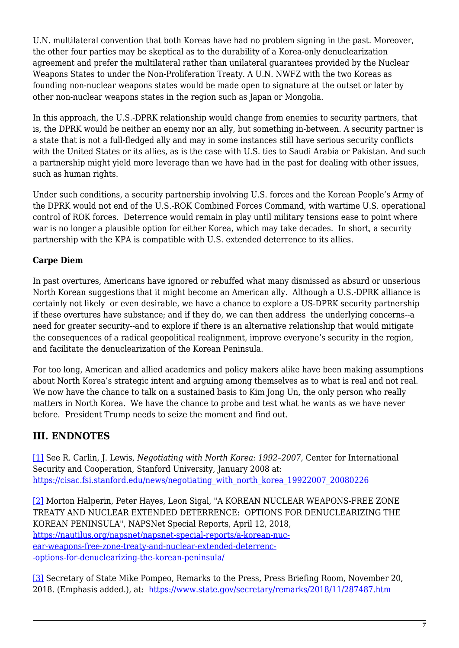U.N. multilateral convention that both Koreas have had no problem signing in the past. Moreover, the other four parties may be skeptical as to the durability of a Korea-only denuclearization agreement and prefer the multilateral rather than unilateral guarantees provided by the Nuclear Weapons States to under the Non-Proliferation Treaty. A U.N. NWFZ with the two Koreas as founding non-nuclear weapons states would be made open to signature at the outset or later by other non-nuclear weapons states in the region such as Japan or Mongolia.

In this approach, the U.S.-DPRK relationship would change from enemies to security partners, that is, the DPRK would be neither an enemy nor an ally, but something in-between. A security partner is a state that is not a full-fledged ally and may in some instances still have serious security conflicts with the United States or its allies, as is the case with U.S. ties to Saudi Arabia or Pakistan. And such a partnership might yield more leverage than we have had in the past for dealing with other issues, such as human rights.

Under such conditions, a security partnership involving U.S. forces and the Korean People's Army of the DPRK would not end of the U.S.-ROK Combined Forces Command, with wartime U.S. operational control of ROK forces. Deterrence would remain in play until military tensions ease to point where war is no longer a plausible option for either Korea, which may take decades. In short, a security partnership with the KPA is compatible with U.S. extended deterrence to its allies.

# **Carpe Diem**

In past overtures, Americans have ignored or rebuffed what many dismissed as absurd or unserious North Korean suggestions that it might become an American ally. Although a U.S.-DPRK alliance is certainly not likely or even desirable, we have a chance to explore a US-DPRK security partnership if these overtures have substance; and if they do, we can then address the underlying concerns--a need for greater security--and to explore if there is an alternative relationship that would mitigate the consequences of a radical geopolitical realignment, improve everyone's security in the region, and facilitate the denuclearization of the Korean Peninsula.

For too long, American and allied academics and policy makers alike have been making assumptions about North Korea's strategic intent and arguing among themselves as to what is real and not real. We now have the chance to talk on a sustained basis to Kim Jong Un, the only person who really matters in North Korea. We have the chance to probe and test what he wants as we have never before. President Trump needs to seize the moment and find out.

# **III. ENDNOTES**

<span id="page-6-0"></span>[\[1\]](#page-2-0) See R. Carlin, J. Lewis, *Negotiating with North Korea: 1992–2007,* Center for International Security and Cooperation, Stanford University, January 2008 at: [https://cisac.fsi.stanford.edu/news/negotiating\\_with\\_north\\_korea\\_19922007\\_20080226](https://cisac.fsi.stanford.edu/news/negotiating_with_north_korea_19922007_20080226)

<span id="page-6-1"></span>[\[2\]](#page-2-1) Morton Halperin, Peter Hayes, Leon Sigal, "A KOREAN NUCLEAR WEAPONS-FREE ZONE TREATY AND NUCLEAR EXTENDED DETERRENCE: OPTIONS FOR DENUCLEARIZING THE KOREAN PENINSULA", NAPSNet Special Reports, April 12, 2018, [https://nautilus.org/napsnet/napsnet-special-reports/a-korean-nuc](https://nautilus.org/napsnet/napsnet-special-reports/a-korean-nuclear-weapons-free-zone-treaty-and-nuclear-extended-deterrence-options-for-denuclearizing-the-korean-peninsula/)[ear-weapons-free-zone-treaty-and-nuclear-extended-deterrenc-](https://nautilus.org/napsnet/napsnet-special-reports/a-korean-nuclear-weapons-free-zone-treaty-and-nuclear-extended-deterrence-options-for-denuclearizing-the-korean-peninsula/) [-options-for-denuclearizing-the-korean-peninsula/](https://nautilus.org/napsnet/napsnet-special-reports/a-korean-nuclear-weapons-free-zone-treaty-and-nuclear-extended-deterrence-options-for-denuclearizing-the-korean-peninsula/)

<span id="page-6-3"></span><span id="page-6-2"></span>[\[3\]](#page-2-2) Secretary of State Mike Pompeo, Remarks to the Press, Press Briefing Room, November 20, 2018. (Emphasis added.), at: <https://www.state.gov/secretary/remarks/2018/11/287487.htm>